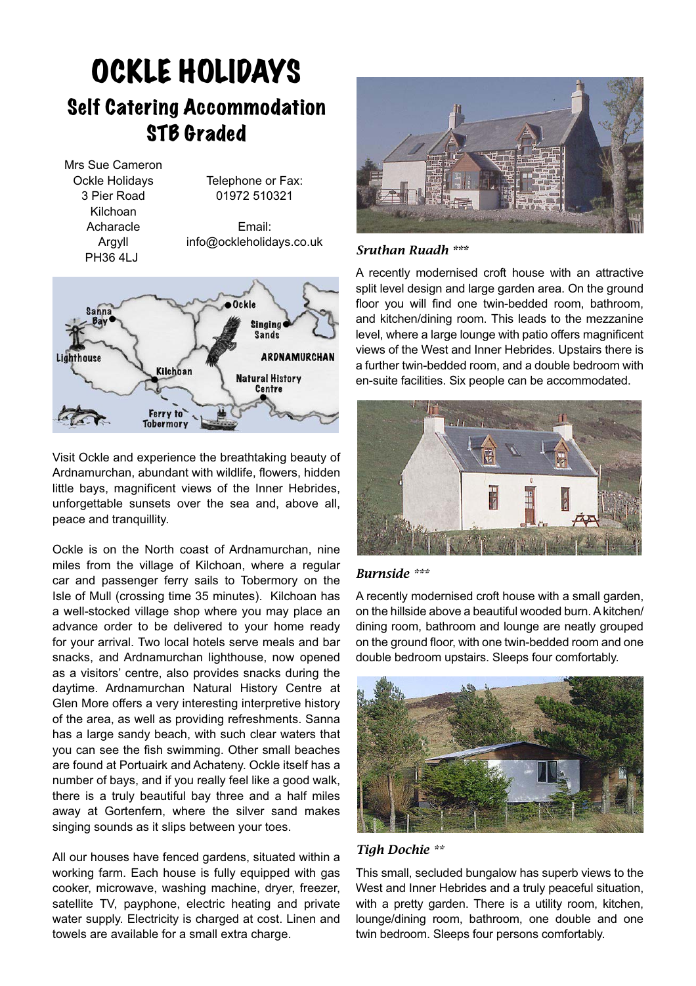## OCKLE HOLIDAYS Self Catering Accommodation **STB Graded**

Mrs Sue Cameron Ockle Holidays 3 Pier Road Kilchoan Acharacle Argyll PH36 4LJ Telephone or Fax: 01972 510321 Email: info@ockleholidays.co.uk



Visit Ockle and experience the breathtaking beauty of Ardnamurchan, abundant with wildlife, flowers, hidden little bays, magnificent views of the Inner Hebrides, unforgettable sunsets over the sea and, above all, peace and tranquillity.

Ockle is on the North coast of Ardnamurchan, nine miles from the village of Kilchoan, where a regular car and passenger ferry sails to Tobermory on the Isle of Mull (crossing time 35 minutes). Kilchoan has a well-stocked village shop where you may place an advance order to be delivered to your home ready for your arrival. Two local hotels serve meals and bar snacks, and Ardnamurchan lighthouse, now opened as a visitors' centre, also provides snacks during the daytime. Ardnamurchan Natural History Centre at Glen More offers a very interesting interpretive history of the area, as well as providing refreshments. Sanna has a large sandy beach, with such clear waters that you can see the fish swimming. Other small beaches are found at Portuairk and Achateny. Ockle itself has a number of bays, and if you really feel like a good walk, there is a truly beautiful bay three and a half miles away at Gortenfern, where the silver sand makes singing sounds as it slips between your toes.

All our houses have fenced gardens, situated within a working farm. Each house is fully equipped with gas cooker, microwave, washing machine, dryer, freezer, satellite TV, payphone, electric heating and private water supply. Electricity is charged at cost. Linen and towels are available for a small extra charge.



### *Sruthan Ruadh \*\*\**

A recently modernised croft house with an attractive split level design and large garden area. On the ground floor you will find one twin-bedded room, bathroom, and kitchen/dining room. This leads to the mezzanine level, where a large lounge with patio offers magnificent views of the West and Inner Hebrides. Upstairs there is a further twin-bedded room, and a double bedroom with en-suite facilities. Six people can be accommodated.



#### *Burnside \*\*\**

A recently modernised croft house with a small garden, on the hillside above a beautiful wooded burn. A kitchen/ dining room, bathroom and lounge are neatly grouped on the ground floor, with one twin-bedded room and one double bedroom upstairs. Sleeps four comfortably.



*Tigh Dochie \*\**

This small, secluded bungalow has superb views to the West and Inner Hebrides and a truly peaceful situation, with a pretty garden. There is a utility room, kitchen, lounge/dining room, bathroom, one double and one twin bedroom. Sleeps four persons comfortably.